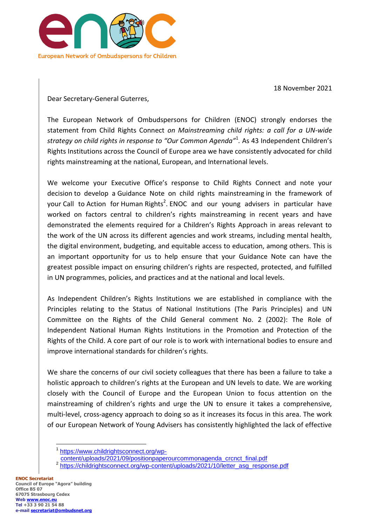

18 November 2021

Dear Secretary-General Guterres,

The European Network of Ombudspersons for Children (ENOC) strongly endorses the statement from Child Rights Connect *on Mainstreaming child rights: a call for a UN-wide strategy on child rights in response to "Our Common Agenda"*<sup>1</sup> *.* As 43 Independent Children's Rights Institutions across the Council of Europe area we have consistently advocated for child rights mainstreaming at the national, European, and International levels.

We welcome your Executive Office's response to Child Rights Connect and note your decision to develop a Guidance Note on child rights mainstreaming in the framework of your Call to Action for Human Rights<sup>2</sup>. ENOC and our young advisers in particular have worked on factors central to children's rights mainstreaming in recent years and have demonstrated the elements required for a Children's Rights Approach in areas relevant to the work of the UN across its different agencies and work streams, including mental health, the digital environment, budgeting, and equitable access to education, among others. This is an important opportunity for us to help ensure that your Guidance Note can have the greatest possible impact on ensuring children's rights are respected, protected, and fulfilled in UN programmes, policies, and practices and at the national and local levels.

As Independent Children's Rights Institutions we are established in compliance with the Principles relating to the Status of National Institutions (The Paris Principles) and UN Committee on the Rights of the Child General comment No. 2 (2002): The Role of Independent National Human Rights Institutions in the Promotion and Protection of the Rights of the Child. A core part of our role is to work with international bodies to ensure and improve international standards for children's rights.

We share the concerns of our civil society colleagues that there has been a failure to take a holistic approach to children's rights at the European and UN levels to date. We are working closely with the Council of Europe and the European Union to focus attention on the mainstreaming of children's rights and urge the UN to ensure it takes a comprehensive, multi-level, cross-agency approach to doing so as it increases its focus in this area. The work of our European Network of Young Advisers has consistently highlighted the lack of effective

 $\overline{a}$ 

<sup>1</sup> [https://www.childrightsconnect.org/wp-](https://www.childrightsconnect.org/wp-content/uploads/2021/09/positionpaperourcommonagenda_crcnct_final.pdf)

[content/uploads/2021/09/positionpaperourcommonagenda\\_crcnct\\_final.pdf](https://www.childrightsconnect.org/wp-content/uploads/2021/09/positionpaperourcommonagenda_crcnct_final.pdf)

<sup>&</sup>lt;sup>2</sup> [https://childrightsconnect.org/wp-content/uploads/2021/10/letter\\_asg\\_response.pdf](https://childrightsconnect.org/wp-content/uploads/2021/10/letter_asg_response.pdf)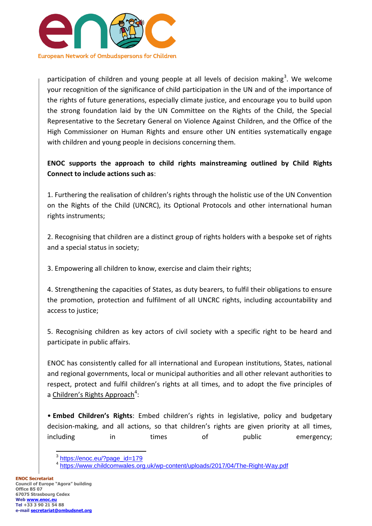

participation of children and young people at all levels of decision making<sup>3</sup>. We welcome your recognition of the significance of child participation in the UN and of the importance of the rights of future generations, especially climate justice, and encourage you to build upon the strong foundation laid by the UN Committee on the Rights of the Child, the Special Representative to the Secretary General on Violence Against Children, and the Office of the High Commissioner on Human Rights and ensure other UN entities systematically engage with children and young people in decisions concerning them.

# **ENOC supports the approach to child rights mainstreaming outlined by Child Rights Connect to include actions such as**:

1. Furthering the realisation of children's rights through the holistic use of the UN Convention on the Rights of the Child (UNCRC), its Optional Protocols and other international human rights instruments;

2. Recognising that children are a distinct group of rights holders with a bespoke set of rights and a special status in society;

3. Empowering all children to know, exercise and claim their rights;

4. Strengthening the capacities of States, as duty bearers, to fulfil their obligations to ensure the promotion, protection and fulfilment of all UNCRC rights, including accountability and access to justice;

5. Recognising children as key actors of civil society with a specific right to be heard and participate in public affairs.

ENOC has consistently called for all international and European institutions, States, national and regional governments, local or municipal authorities and all other relevant authorities to respect, protect and fulfil children's rights at all times, and to adopt the five principles of a [Children's](https://www.consilium.europa.eu/en/policies/coronavirus/pandemic-treaty/) Rights Approach<sup>4</sup>:

• **Embed Children's Rights**: Embed children's rights in legislative, policy and budgetary decision-making, and all actions, so that children's rights are given priority at all times, including in times of public emergency;

 $\overline{a}$ 

<sup>&</sup>lt;sup>3</sup> [https://enoc.eu/?page\\_id=179](https://enoc.eu/?page_id=179)

<sup>4</sup> <https://www.childcomwales.org.uk/wp-content/uploads/2017/04/The-Right-Way.pdf>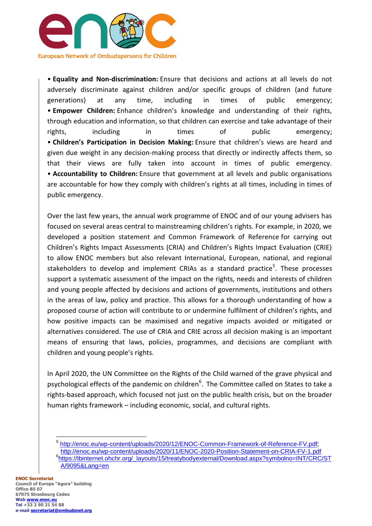

• **Equality and Non-discrimination:** Ensure that decisions and actions at all levels do not adversely discriminate against children and/or specific groups of children (and future generations) at any time, including in times of public emergency; • **Empower Children:** Enhance children's knowledge and understanding of their rights, through education and information, so that children can exercise and take advantage of their rights, including in times of public emergency; • **Children's Participation in Decision Making:** Ensure that children's views are heard and given due weight in any decision-making process that directly or indirectly affects them, so that their views are fully taken into account in times of public emergency. • **Accountability to Children:** Ensure that government at all levels and public organisations are accountable for how they comply with children's rights at all times, including in times of public emergency.

Over the last few years, the annual work programme of ENOC and of our young advisers has focused on several areas central to mainstreaming children's rights. For example, in 2020, we developed a position statement and Common Framework of Reference for carrying out Children's Rights Impact Assessments (CRIA) and Children's Rights Impact Evaluation (CRIE) to allow ENOC members but also relevant International, European, national, and regional stakeholders to develop and implement CRIAs as a standard practice<sup>5</sup>. These processes support a systematic assessment of the impact on the rights, needs and interests of children and young people affected by decisions and actions of governments, institutions and others in the areas of law, policy and practice. This allows for a thorough understanding of how a proposed course of action will contribute to or undermine fulfilment of children's rights, and how positive impacts can be maximised and negative impacts avoided or mitigated or alternatives considered. The use of CRIA and CRIE across all decision making is an important means of ensuring that laws, policies, programmes, and decisions are compliant with children and young people's rights.

In April 2020, the UN Committee on the Rights of the Child warned of the grave physical and psychological effects of the pandemic on children<sup>6</sup>. The Committee called on States to take a rights-based approach, which focused not just on the public health crisis, but on the broader human rights framework – including economic, social, and cultural rights.

<sup>5</sup> [http://enoc.eu/wp-content/uploads/2020/12/ENOC-Common-Framework-of-Reference-FV.pdf;](http://enoc.eu/wp-content/uploads/2020/12/ENOC-Common-Framework-of-Reference-FV.pdf) <http://enoc.eu/wp-content/uploads/2020/11/ENOC-2020-Position-Statement-on-CRIA-FV-1.pdf> 6 [https://tbinternet.ohchr.org/\\_layouts/15/treatybodyexternal/Download.aspx?symbolno=INT/CRC/ST](https://tbinternet.ohchr.org/_layouts/15/treatybodyexternal/Download.aspx?symbolno=INT/CRC/STA/9095&Lang=en) [A/9095&Lang=en](https://tbinternet.ohchr.org/_layouts/15/treatybodyexternal/Download.aspx?symbolno=INT/CRC/STA/9095&Lang=en)

 $\overline{a}$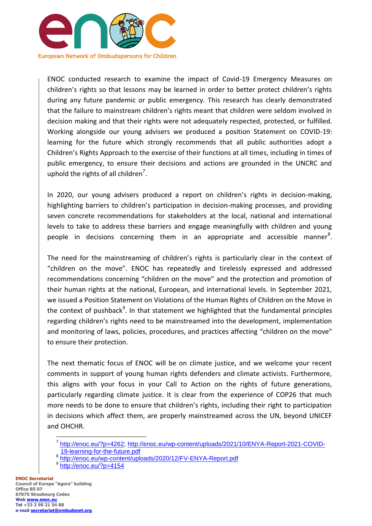

ENOC conducted research to examine the impact of Covid-19 Emergency Measures on children's rights so that lessons may be learned in order to better protect children's rights during any future pandemic or public emergency. This research has clearly demonstrated that the failure to mainstream children's rights meant that children were seldom involved in decision making and that their rights were not adequately respected, protected, or fulfilled. Working alongside our young advisers we produced a position Statement on COVID-19: learning for the future which strongly recommends that all public authorities adopt a Children's Rights Approach to the exercise of their functions at all times, including in times of public emergency, to ensure their decisions and actions are grounded in the UNCRC and uphold the rights of all children<sup>7</sup>.

In 2020, our young advisers produced a report on children's rights in decision-making, highlighting barriers to children's participation in decision-making processes, and providing seven concrete recommendations for stakeholders at the local, national and international levels to take to address these barriers and engage meaningfully with children and young people in decisions concerning them in an appropriate and accessible manner<sup>8</sup>.

The need for the mainstreaming of children's rights is particularly clear in the context of "children on the move". ENOC has repeatedly and tirelessly expressed and addressed recommendations concerning "children on the move" and the protection and promotion of their human rights at the national, European, and international levels. In September 2021, we issued a Position Statement on Violations of the Human Rights of Children on the Move in the context of pushback<sup>9</sup>. In that statement we highlighted that the fundamental principles regarding children's rights need to be mainstreamed into the development, implementation and monitoring of laws, policies, procedures, and practices affecting "children on the move" to ensure their protection.

The next thematic focus of ENOC will be on climate justice, and we welcome your recent comments in support of young human rights defenders and climate activists. Furthermore, this aligns with your focus in your Call to Action on the rights of future generations, particularly regarding climate justice. It is clear from the experience of COP26 that much more needs to be done to ensure that children's rights, including their right to participation in decisions which affect them, are properly mainstreamed across the UN, beyond UNICEF and OHCHR.

 $\overline{a}$ <sup>7</sup> [http://enoc.eu/?p=4262;](http://enoc.eu/?p=4262) [http://enoc.eu/wp-content/uploads/2021/10/ENYA-Report-2021-COVID-](http://enoc.eu/wp-content/uploads/2021/10/ENYA-Report-2021-COVID-19-learning-for-the-future.pdf)[19-learning-for-the-future.pdf](http://enoc.eu/wp-content/uploads/2021/10/ENYA-Report-2021-COVID-19-learning-for-the-future.pdf)

<sup>8</sup> <http://enoc.eu/wp-content/uploads/2020/12/FV-ENYA-Report.pdf><br>9 http://enoc.eu/2p. 4154

<http://enoc.eu/?p=4154>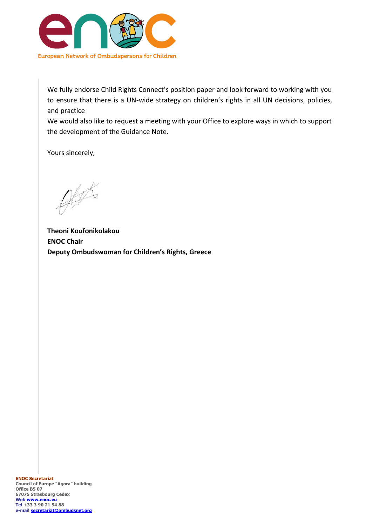

We fully endorse Child Rights Connect's position paper and look forward to working with you to ensure that there is a UN-wide strategy on children's rights in all UN decisions, policies, and practice

We would also like to request a meeting with your Office to explore ways in which to support the development of the Guidance Note.

Yours sincerely,

 $\mathscr{G}\mathscr{F}$ 

**Theoni Koufonikolakou ENOC Chair Deputy Ombudswoman for Children's Rights, Greece**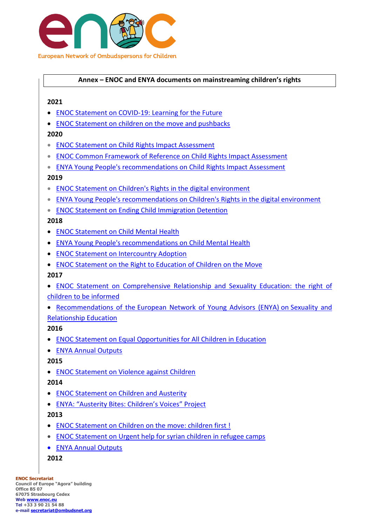

### **Annex – ENOC and ENYA documents on mainstreaming children's rights**

#### **2021**

- [ENOC Statement on COVID-19: Learning for the Future](http://enoc.eu/wp-content/uploads/2021/10/FV-ENOC-Position-Statement-on-COVID19-learning-for-the-future.pdf)
- [ENOC Statement on children on the move and pushbacks](http://enoc.eu/wp-content/uploads/2021/10/ENOC-Statement-Children-on-the-Move-and-Pushbacks-Sept-2021-FV.pdf)

### **2020**

- [ENOC Statement on Child Rights Impact Assessment](http://enoc.eu/wp-content/uploads/2020/11/ENOC-2020-Position-Statement-on-CRIA-FV-1.pdf)
- [ENOC Common Framework of Reference on Child Rights Impact Assessment](http://enoc.eu/wp-content/uploads/2020/12/ENOC-Common-Framework-of-Reference-FV.pdf)
- **[ENYA Young People's recommendations on Child Rights Impact Assessment](http://enoc.eu/wp-content/uploads/2020/12/FV-ENYA-Report.pdf)**

### **2019**

- [ENOC Statement on Children's Rights in the digital environment](http://enoc.eu/wp-content/uploads/2019/10/ENOC-2019-Statement-on-Childrens-Rights-in-the-Digital-Environment.pdf)
- [ENYA Young People's recommendations on Children's Rights in the digital environment](http://enoc.eu/wp-content/uploads/2019/10/ENYA-recommendations-on-childrens-rights-in-the-digital-environment-FV.pdf)
- [ENOC Statement on Ending Child Immigration Detention](http://enoc.eu/wp-content/uploads/2019/10/ENOC-statement-on-ending-child-immigration-detention-FV.pdf)

### **2018**

- **[ENOC Statement on Child Mental Health](http://enoc.eu/wp-content/uploads/2019/06/ENOC-2018-statement-Child-Mental-Health-MODIF-1.pdf)**
- [ENYA Young People's recommendations on Child Mental Health](http://enoc.eu/wp-content/uploads/2019/06/ENYA-2018-recommendations-on-MH-pages-1-4.pdf)
- [ENOC Statement on Intercountry Adoption](http://enoc.eu/wp-content/uploads/2019/06/ENOC-2018-statement-on-Intercountry-adoption-FV.pdf)
- [ENOC Statement on the Right to Education of Children on the Move](http://enoc.eu/wp-content/uploads/2019/06/ENOC-2018-Statement-on-Children-on-the-Move-Education-FV.pdf)

#### **2017**

- [ENOC Statement on Comprehensive Relationship and Sexuality Education: the right of](http://enoc.eu/wp-content/uploads/2017/10/ENOC-position-statement-on-CRSE.pdf)  [children to be informed](http://enoc.eu/wp-content/uploads/2017/10/ENOC-position-statement-on-CRSE.pdf)
- Recommendations of the [European Network of Young Advisors \(ENYA\)](http://enoc.eu/wp-content/uploads/2017/10/ENYA-recommendations-on-CRSE.pdf) on Sexuality and [Relationship Education](http://enoc.eu/wp-content/uploads/2017/10/ENYA-recommendations-on-CRSE.pdf)

# **2016**

- [ENOC Statement on Equal Opportunities for All Children in Education](http://enoc.eu/wp-content/uploads/2014/12/ENOC-position-statement-on-Equal-Opportunities-in-Education-FV1.pdf)
- [ENYA Annual Outputs](http://enoc.eu/?page_id=1588)

# **2015**

[ENOC Statement on Violence against Children](http://enoc.eu/wp-content/uploads/2014/12/ENOC-position-statement-on-Violence-against-children-2015-FV.pdf)

# **2014**

- [ENOC Statement on Children and Austerity](http://enoc.eu/wp-content/uploads/2015/01/ENOC-2014-Statement-on-Children-and-Austerity.pdf)
- [ENYA: "Austerity Bites: Children's Voices" Project](http://enoc.eu/?page_id=475)

# **2013**

- [ENOC Statement on Children on the move: children first !](http://enoc.eu/wp-content/uploads/2015/01/ENOC-2013-Statement-on-Children-on-the-Move-EN.pdf)
- [ENOC Statement on Urgent help for syrian children in refugee camps](http://enoc.eu/wp-content/uploads/2015/01/ENOC-2013-Statement-on-URGENT-help-for-Syrian-Children-EN.pdf)
- [ENYA Annual Outputs](http://enoc.eu/?page_id=471)
- **2012**

**ENOC Secretariat Council of Europe "Agora" building Office B5 07 67075 Strasbourg Cedex Web [www.enoc.eu](http://www.enoc.eu/) Tel +33 3 90 21 54 88 e-mail [secretariat@ombudsnet.org](mailto:secretariat@ombudsnet.org)**